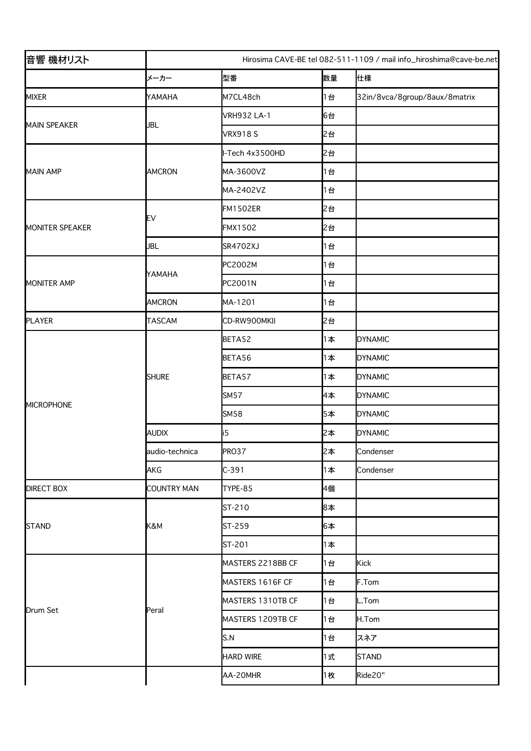| 音響 機材リスト           | Hirosima CAVE-BE tel 082-511-1109 / mail info_hiroshima@cave-be.net |                    |    |                               |  |
|--------------------|---------------------------------------------------------------------|--------------------|----|-------------------------------|--|
|                    | メーカー                                                                | 型番                 | 数量 | 仕様                            |  |
| <b>MIXER</b>       | YAMAHA                                                              | M7CL48ch           | 1台 | 32in/8vca/8group/8aux/8matrix |  |
| MAIN SPEAKER       | <b>JBL</b>                                                          | <b>VRH932 LA-1</b> | 6台 |                               |  |
|                    |                                                                     | <b>VRX918S</b>     | 2台 |                               |  |
| <b>MAIN AMP</b>    | <b>AMCRON</b>                                                       | I-Tech 4x3500HD    | 2台 |                               |  |
|                    |                                                                     | MA-3600VZ          | 1台 |                               |  |
|                    |                                                                     | MA-2402VZ          | 1台 |                               |  |
| MONITER SPEAKER    | EV                                                                  | <b>FM1502ER</b>    | 2台 |                               |  |
|                    |                                                                     | <b>FMX1502</b>     | 2台 |                               |  |
|                    | JBL                                                                 | SR4702XJ           | 1台 |                               |  |
| <b>MONITER AMP</b> | YAMAHA                                                              | PC2002M            | 1台 |                               |  |
|                    |                                                                     | PC2001N            | 1台 |                               |  |
|                    | <b>AMCRON</b>                                                       | MA-1201            | 1台 |                               |  |
| PLAYER             | <b>TASCAM</b>                                                       | CD-RW900MKII       | 2台 |                               |  |
| MICROPHONE         | <b>SHURE</b>                                                        | BETA52             | 1本 | <b>DYNAMIC</b>                |  |
|                    |                                                                     | BETA56             | 1本 | <b>DYNAMIC</b>                |  |
|                    |                                                                     | BETA57             | 1本 | <b>DYNAMIC</b>                |  |
|                    |                                                                     | <b>SM57</b>        | 4本 | <b>DYNAMIC</b>                |  |
|                    |                                                                     | <b>SM58</b>        | 5本 | <b>DYNAMIC</b>                |  |
|                    | <b>AUDIX</b>                                                        | i5                 | 2本 | <b>DYNAMIC</b>                |  |
|                    | audio-technica                                                      | <b>PRO37</b>       | 2本 | Condenser                     |  |
|                    | <b>AKG</b>                                                          | $C-391$            | 1本 | Condenser                     |  |
| <b>DIRECT BOX</b>  | <b>COUNTRY MAN</b>                                                  | TYPE-85            | 4個 |                               |  |
| STAND              | K&M                                                                 | ST-210             | 8本 |                               |  |
|                    |                                                                     | ST-259             | 6本 |                               |  |
|                    |                                                                     | ST-201             | 1本 |                               |  |
| Drum Set           | Peral                                                               | MASTERS 2218BB CF  | 1台 | Kick                          |  |
|                    |                                                                     | MASTERS 1616F CF   | 1台 | F.Tom                         |  |
|                    |                                                                     | MASTERS 1310TB CF  | 1台 | L.Tom                         |  |
|                    |                                                                     | MASTERS 1209TB CF  | 1台 | H.Tom                         |  |
|                    |                                                                     | S.N                | 1台 | スネア                           |  |
|                    |                                                                     | <b>HARD WIRE</b>   | 1式 | STAND                         |  |
|                    |                                                                     | AA-20MHR           | 1枚 | Ride20"                       |  |